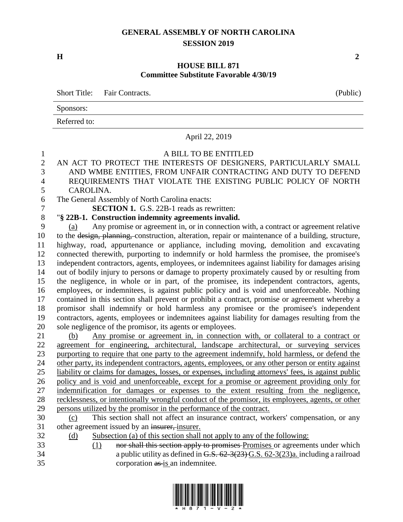## **GENERAL ASSEMBLY OF NORTH CAROLINA SESSION 2019**

**H 2**

## **HOUSE BILL 871 Committee Substitute Favorable 4/30/19**

|        |              | Short Title: Fair Contracts. |                                                                                                         | (Public) |
|--------|--------------|------------------------------|---------------------------------------------------------------------------------------------------------|----------|
|        | Sponsors:    |                              |                                                                                                         |          |
|        | Referred to: |                              |                                                                                                         |          |
|        |              |                              | April 22, 2019                                                                                          |          |
| $\sim$ |              |                              | A BILL TO BE ENTITLED<br>$\mathbf{M}$ i am mo prompam mup numprame or preformed plannature intreductive |          |

- AN ACT TO PROTECT THE INTERESTS OF DESIGNERS, PARTICULARLY SMALL AND WMBE ENTITIES, FROM UNFAIR CONTRACTING AND DUTY TO DEFEND REQUIREMENTS THAT VIOLATE THE EXISTING PUBLIC POLICY OF NORTH CAROLINA.
- The General Assembly of North Carolina enacts:

**SECTION 1.** G.S. 22B-1 reads as rewritten:

## "**§ 22B-1. Construction indemnity agreements invalid.**

 (a) Any promise or agreement in, or in connection with, a contract or agreement relative to the design, planning, construction, alteration, repair or maintenance of a building, structure, highway, road, appurtenance or appliance, including moving, demolition and excavating connected therewith, purporting to indemnify or hold harmless the promisee, the promisee's independent contractors, agents, employees, or indemnitees against liability for damages arising out of bodily injury to persons or damage to property proximately caused by or resulting from the negligence, in whole or in part, of the promisee, its independent contractors, agents, employees, or indemnitees, is against public policy and is void and unenforceable. Nothing contained in this section shall prevent or prohibit a contract, promise or agreement whereby a promisor shall indemnify or hold harmless any promisee or the promisee's independent contractors, agents, employees or indemnitees against liability for damages resulting from the sole negligence of the promisor, its agents or employees.

 (b) Any promise or agreement in, in connection with, or collateral to a contract or agreement for engineering, architectural, landscape architectural, or surveying services purporting to require that one party to the agreement indemnify, hold harmless, or defend the other party, its independent contractors, agents, employees, or any other person or entity against liability or claims for damages, losses, or expenses, including attorneys' fees, is against public policy and is void and unenforceable, except for a promise or agreement providing only for indemnification for damages or expenses to the extent resulting from the negligence, recklessness, or intentionally wrongful conduct of the promisor, its employees, agents, or other persons utilized by the promisor in the performance of the contract.

## (c) This section shall not affect an insurance contract, workers' compensation, or any 31 other agreement issued by an insurer, insurer.

- 
- 
- (d) Subsection (a) of this section shall not apply to any of the following:
- (1) nor shall this section apply to promises Promises or agreements under which a public utility as defined in G.S. 62-3(23) G.S. 62-3(23)a. including a railroad corporation as is an indemnitee.



| (Public) |  |  |
|----------|--|--|
|          |  |  |